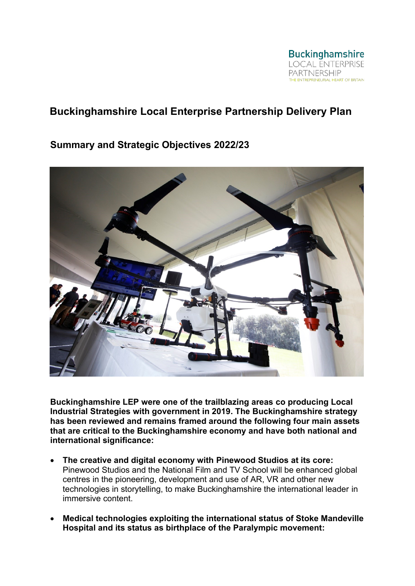

# **Buckinghamshire Local Enterprise Partnership Delivery Plan**

# **Summary and Strategic Objectives 2022/23**



**Buckinghamshire LEP were one of the trailblazing areas co producing Local Industrial Strategies with government in 2019. The Buckinghamshire strategy has been reviewed and remains framed around the following four main assets that are critical to the Buckinghamshire economy and have both national and international significance:**

- **The creative and digital economy with Pinewood Studios at its core:** Pinewood Studios and the National Film and TV School will be enhanced global centres in the pioneering, development and use of AR, VR and other new technologies in storytelling, to make Buckinghamshire the international leader in immersive content.
- **Medical technologies exploiting the international status of Stoke Mandeville Hospital and its status as birthplace of the Paralympic movement:**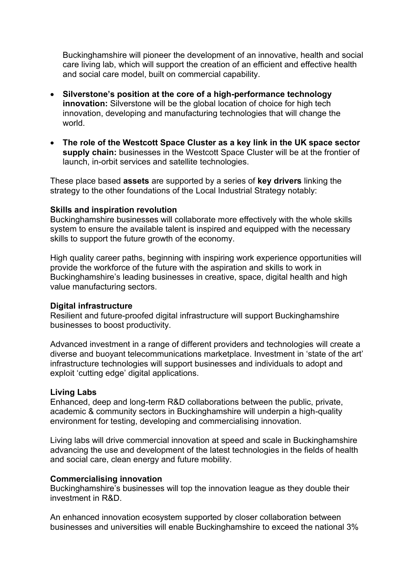Buckinghamshire will pioneer the development of an innovative, health and social care living lab, which will support the creation of an efficient and effective health and social care model, built on commercial capability.

- **Silverstone's position at the core of a high-performance technology innovation:** Silverstone will be the global location of choice for high tech innovation, developing and manufacturing technologies that will change the world.
- **The role of the Westcott Space Cluster as a key link in the UK space sector supply chain:** businesses in the Westcott Space Cluster will be at the frontier of launch, in-orbit services and satellite technologies.

These place based **assets** are supported by a series of **key drivers** linking the strategy to the other foundations of the Local Industrial Strategy notably:

#### **Skills and inspiration revolution**

Buckinghamshire businesses will collaborate more effectively with the whole skills system to ensure the available talent is inspired and equipped with the necessary skills to support the future growth of the economy.

High quality career paths, beginning with inspiring work experience opportunities will provide the workforce of the future with the aspiration and skills to work in Buckinghamshire's leading businesses in creative, space, digital health and high value manufacturing sectors.

#### **Digital infrastructure**

Resilient and future-proofed digital infrastructure will support Buckinghamshire businesses to boost productivity.

Advanced investment in a range of different providers and technologies will create a diverse and buoyant telecommunications marketplace. Investment in 'state of the art' infrastructure technologies will support businesses and individuals to adopt and exploit 'cutting edge' digital applications.

#### **Living Labs**

Enhanced, deep and long-term R&D collaborations between the public, private, academic & community sectors in Buckinghamshire will underpin a high-quality environment for testing, developing and commercialising innovation.

Living labs will drive commercial innovation at speed and scale in Buckinghamshire advancing the use and development of the latest technologies in the fields of health and social care, clean energy and future mobility.

#### **Commercialising innovation**

Buckinghamshire's businesses will top the innovation league as they double their investment in R&D.

An enhanced innovation ecosystem supported by closer collaboration between businesses and universities will enable Buckinghamshire to exceed the national 3%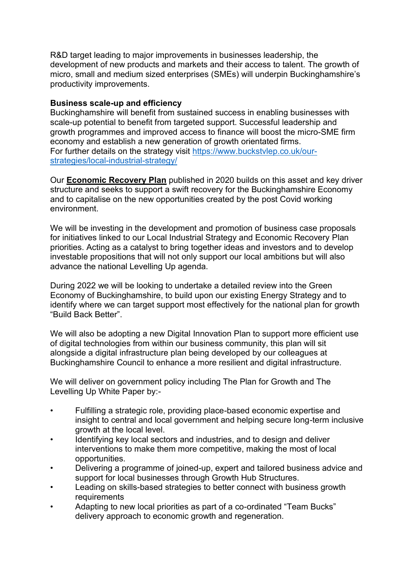R&D target leading to major improvements in businesses leadership, the development of new products and markets and their access to talent. The growth of micro, small and medium sized enterprises (SMEs) will underpin Buckinghamshire's productivity improvements.

#### **Business scale-up and efficiency**

Buckinghamshire will benefit from sustained success in enabling businesses with scale-up potential to benefit from targeted support. Successful leadership and growth programmes and improved access to finance will boost the micro-SME firm economy and establish a new generation of growth orientated firms. For further details on the strategy visit [https://www.buckstvlep.co.uk/our](https://www.buckstvlep.co.uk/our-strategies/local-industrial-strategy/)[strategies/local-industrial-strategy/](https://www.buckstvlep.co.uk/our-strategies/local-industrial-strategy/)

Our **[Economic Recovery Plan](https://www.buckstvlep.co.uk/our-strategies/buckinghamshire-economic-recovery-strategy-consultation/)** published in 2020 builds on this asset and key driver structure and seeks to support a swift recovery for the Buckinghamshire Economy and to capitalise on the new opportunities created by the post Covid working environment.

We will be investing in the development and promotion of business case proposals for initiatives linked to our Local Industrial Strategy and Economic Recovery Plan priorities. Acting as a catalyst to bring together ideas and investors and to develop investable propositions that will not only support our local ambitions but will also advance the national Levelling Up agenda.

During 2022 we will be looking to undertake a detailed review into the Green Economy of Buckinghamshire, to build upon our existing Energy Strategy and to identify where we can target support most effectively for the national plan for growth "Build Back Better".

We will also be adopting a new Digital Innovation Plan to support more efficient use of digital technologies from within our business community, this plan will sit alongside a digital infrastructure plan being developed by our colleagues at Buckinghamshire Council to enhance a more resilient and digital infrastructure.

We will deliver on government policy including The Plan for Growth and The Levelling Up White Paper by:-

- Fulfilling a strategic role, providing place-based economic expertise and insight to central and local government and helping secure long-term inclusive growth at the local level.
- Identifying key local sectors and industries, and to design and deliver interventions to make them more competitive, making the most of local opportunities.
- Delivering a programme of joined-up, expert and tailored business advice and support for local businesses through Growth Hub Structures.
- Leading on skills-based strategies to better connect with business growth requirements
- Adapting to new local priorities as part of a co-ordinated "Team Bucks" delivery approach to economic growth and regeneration.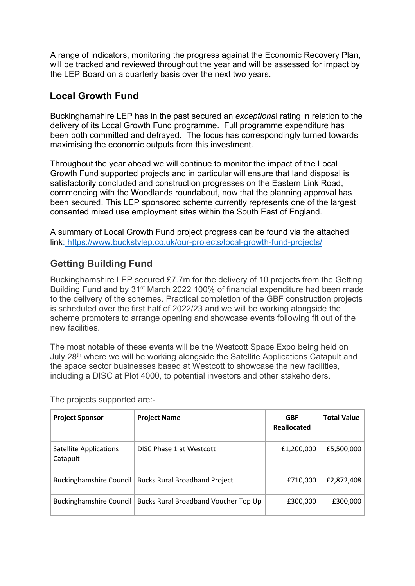A range of indicators, monitoring the progress against the Economic Recovery Plan, will be tracked and reviewed throughout the year and will be assessed for impact by the LEP Board on a quarterly basis over the next two years.

# **Local Growth Fund**

Buckinghamshire LEP has in the past secured an *exceptiona*l rating in relation to the delivery of its Local Growth Fund programme. Full programme expenditure has been both committed and defrayed. The focus has correspondingly turned towards maximising the economic outputs from this investment.

Throughout the year ahead we will continue to monitor the impact of the Local Growth Fund supported projects and in particular will ensure that land disposal is satisfactorily concluded and construction progresses on the Eastern Link Road, commencing with the Woodlands roundabout, now that the planning approval has been secured. This LEP sponsored scheme currently represents one of the largest consented mixed use employment sites within the South East of England.

A summary of Local Growth Fund project progress can be found via the attached link: <https://www.buckstvlep.co.uk/our-projects/local-growth-fund-projects/>

# **Getting Building Fund**

Buckinghamshire LEP secured £7.7m for the delivery of 10 projects from the Getting Building Fund and by 31<sup>st</sup> March 2022 100% of financial expenditure had been made to the delivery of the schemes. Practical completion of the GBF construction projects is scheduled over the first half of 2022/23 and we will be working alongside the scheme promoters to arrange opening and showcase events following fit out of the new facilities.

The most notable of these events will be the Westcott Space Expo being held on July 28<sup>th</sup> where we will be working alongside the Satellite Applications Catapult and the space sector businesses based at Westcott to showcase the new facilities, including a DISC at Plot 4000, to potential investors and other stakeholders.

| <b>Project Sponsor</b>                    | <b>Project Name</b>                  | <b>GBF</b><br>Reallocated | <b>Total Value</b> |
|-------------------------------------------|--------------------------------------|---------------------------|--------------------|
| <b>Satellite Applications</b><br>Catapult | DISC Phase 1 at Westcott             | £1,200,000                | £5,500,000         |
| Buckinghamshire Council                   | <b>Bucks Rural Broadband Project</b> | £710,000                  | £2,872,408         |
| Buckinghamshire Council                   | Bucks Rural Broadband Voucher Top Up | £300,000                  | £300,000           |

The projects supported are:-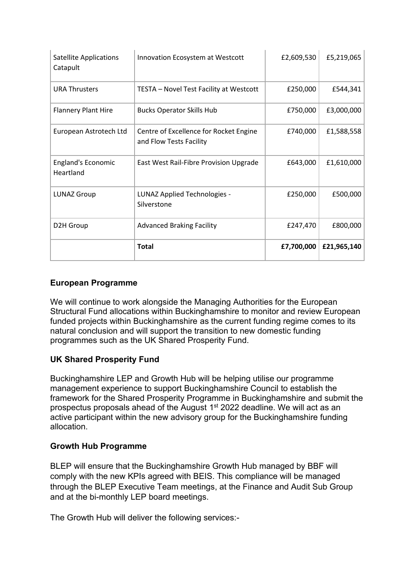| <b>Satellite Applications</b><br>Catapult | Innovation Ecosystem at Westcott                                  | £2,609,530 | £5,219,065  |
|-------------------------------------------|-------------------------------------------------------------------|------------|-------------|
| <b>URA Thrusters</b>                      | TESTA - Novel Test Facility at Westcott                           | £250,000   | £544,341    |
| <b>Flannery Plant Hire</b>                | <b>Bucks Operator Skills Hub</b>                                  | £750,000   | £3,000,000  |
| European Astrotech Ltd                    | Centre of Excellence for Rocket Engine<br>and Flow Tests Facility | £740,000   | £1,588,558  |
| <b>England's Economic</b><br>Heartland    | East West Rail-Fibre Provision Upgrade                            | £643,000   | £1,610,000  |
| <b>LUNAZ Group</b>                        | LUNAZ Applied Technologies -<br>Silverstone                       | £250,000   | £500,000    |
| D2H Group                                 | <b>Advanced Braking Facility</b>                                  | £247,470   | £800,000    |
|                                           | <b>Total</b>                                                      | £7,700,000 | £21,965,140 |

## **European Programme**

We will continue to work alongside the Managing Authorities for the European Structural Fund allocations within Buckinghamshire to monitor and review European funded projects within Buckinghamshire as the current funding regime comes to its natural conclusion and will support the transition to new domestic funding programmes such as the UK Shared Prosperity Fund.

## **UK Shared Prosperity Fund**

Buckinghamshire LEP and Growth Hub will be helping utilise our programme management experience to support Buckinghamshire Council to establish the framework for the Shared Prosperity Programme in Buckinghamshire and submit the prospectus proposals ahead of the August 1<sup>st</sup> 2022 deadline. We will act as an active participant within the new advisory group for the Buckinghamshire funding allocation.

## **Growth Hub Programme**

BLEP will ensure that the Buckinghamshire Growth Hub managed by BBF will comply with the new KPIs agreed with BEIS. This compliance will be managed through the BLEP Executive Team meetings, at the Finance and Audit Sub Group and at the bi-monthly LEP board meetings.

The Growth Hub will deliver the following services:-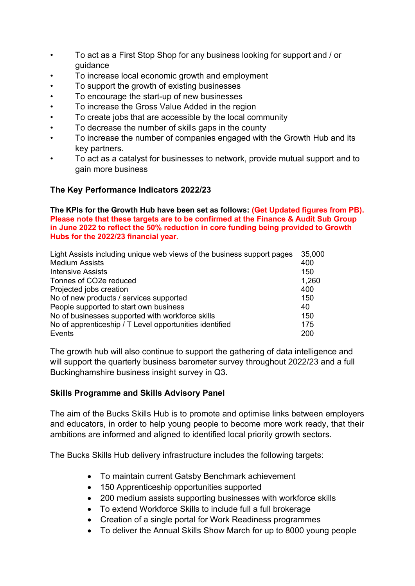- To act as a First Stop Shop for any business looking for support and / or guidance
- To increase local economic growth and employment
- To support the growth of existing businesses
- To encourage the start-up of new businesses
- To increase the Gross Value Added in the region
- To create jobs that are accessible by the local community
- To decrease the number of skills gaps in the county
- To increase the number of companies engaged with the Growth Hub and its key partners.
- To act as a catalyst for businesses to network, provide mutual support and to gain more business

#### **The Key Performance Indicators 2022/23**

**The KPIs for the Growth Hub have been set as follows: (Get Updated figures from PB). Please note that these targets are to be confirmed at the Finance & Audit Sub Group in June 2022 to reflect the 50% reduction in core funding being provided to Growth Hubs for the 2022/23 financial year.** 

| Light Assists including unique web views of the business support pages |       |
|------------------------------------------------------------------------|-------|
| <b>Medium Assists</b>                                                  | 400   |
| Intensive Assists                                                      | 150   |
| Tonnes of CO2e reduced                                                 | 1,260 |
| Projected jobs creation                                                | 400   |
| No of new products / services supported                                | 150   |
| People supported to start own business                                 |       |
| No of businesses supported with workforce skills                       |       |
| No of apprenticeship / T Level opportunities identified                |       |
| Events                                                                 | 200   |

The growth hub will also continue to support the gathering of data intelligence and will support the quarterly business barometer survey throughout 2022/23 and a full Buckinghamshire business insight survey in Q3.

#### **Skills Programme and Skills Advisory Panel**

The aim of the Bucks Skills Hub is to promote and optimise links between employers and educators, in order to help young people to become more work ready, that their ambitions are informed and aligned to identified local priority growth sectors.

The Bucks Skills Hub delivery infrastructure includes the following targets:

- To maintain current Gatsby Benchmark achievement
- 150 Apprenticeship opportunities supported
- 200 medium assists supporting businesses with workforce skills
- To extend Workforce Skills to include full a full brokerage
- Creation of a single portal for Work Readiness programmes
- To deliver the Annual Skills Show March for up to 8000 young people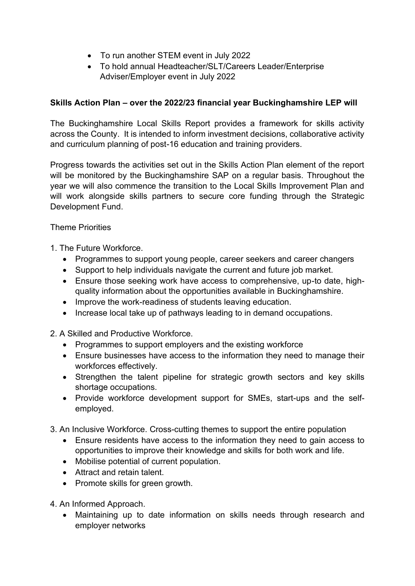- To run another STEM event in July 2022
- To hold annual Headteacher/SLT/Careers Leader/Enterprise Adviser/Employer event in July 2022

## **Skills Action Plan – over the 2022/23 financial year Buckinghamshire LEP will**

The Buckinghamshire Local Skills Report provides a framework for skills activity across the County. It is intended to inform investment decisions, collaborative activity and curriculum planning of post-16 education and training providers.

Progress towards the activities set out in the Skills Action Plan element of the report will be monitored by the Buckinghamshire SAP on a regular basis. Throughout the year we will also commence the transition to the Local Skills Improvement Plan and will work alongside skills partners to secure core funding through the Strategic Development Fund.

Theme Priorities

- 1. The Future Workforce.
	- Programmes to support young people, career seekers and career changers
	- Support to help individuals navigate the current and future job market.
	- Ensure those seeking work have access to comprehensive, up-to date, highquality information about the opportunities available in Buckinghamshire.
	- Improve the work-readiness of students leaving education.
	- Increase local take up of pathways leading to in demand occupations.

2. A Skilled and Productive Workforce.

- Programmes to support employers and the existing workforce
- Ensure businesses have access to the information they need to manage their workforces effectively.
- Strengthen the talent pipeline for strategic growth sectors and key skills shortage occupations.
- Provide workforce development support for SMEs, start-ups and the selfemployed.
- 3. An Inclusive Workforce. Cross-cutting themes to support the entire population
	- Ensure residents have access to the information they need to gain access to opportunities to improve their knowledge and skills for both work and life.
	- Mobilise potential of current population.
	- Attract and retain talent.
	- Promote skills for green growth.
- 4. An Informed Approach.
	- Maintaining up to date information on skills needs through research and employer networks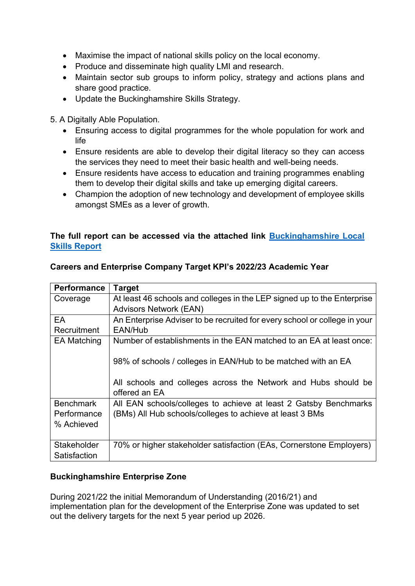- Maximise the impact of national skills policy on the local economy.
- Produce and disseminate high quality LMI and research.
- Maintain sector sub groups to inform policy, strategy and actions plans and share good practice.
- Update the Buckinghamshire Skills Strategy.

5. A Digitally Able Population.

- Ensuring access to digital programmes for the whole population for work and life
- Ensure residents are able to develop their digital literacy so they can access the services they need to meet their basic health and well-being needs.
- Ensure residents have access to education and training programmes enabling them to develop their digital skills and take up emerging digital careers.
- Champion the adoption of new technology and development of employee skills amongst SMEs as a lever of growth.

## **The full report can be accessed via the attached link [Buckinghamshire Local](https://www.buckslep.co.uk/wp-content/uploads/2022/01/Buckinghamshire-Local-Skills-Report-2022.pdf)  [Skills Report](https://www.buckslep.co.uk/wp-content/uploads/2022/01/Buckinghamshire-Local-Skills-Report-2022.pdf)**

| <b>Performance</b> | <b>Target</b>                                                                   |
|--------------------|---------------------------------------------------------------------------------|
| Coverage           | At least 46 schools and colleges in the LEP signed up to the Enterprise         |
|                    | <b>Advisors Network (EAN)</b>                                                   |
| EA                 | An Enterprise Adviser to be recruited for every school or college in your       |
| Recruitment        | EAN/Hub                                                                         |
| <b>EA Matching</b> | Number of establishments in the EAN matched to an EA at least once:             |
|                    | 98% of schools / colleges in EAN/Hub to be matched with an EA                   |
|                    | All schools and colleges across the Network and Hubs should be<br>offered an EA |
| <b>Benchmark</b>   | All EAN schools/colleges to achieve at least 2 Gatsby Benchmarks                |
| Performance        | (BMs) All Hub schools/colleges to achieve at least 3 BMs                        |
| % Achieved         |                                                                                 |
|                    |                                                                                 |
| Stakeholder        | 70% or higher stakeholder satisfaction (EAs, Cornerstone Employers)             |
| Satisfaction       |                                                                                 |

## **Careers and Enterprise Company Target KPI's 2022/23 Academic Year**

## **Buckinghamshire Enterprise Zone**

During 2021/22 the initial Memorandum of Understanding (2016/21) and implementation plan for the development of the Enterprise Zone was updated to set out the delivery targets for the next 5 year period up 2026.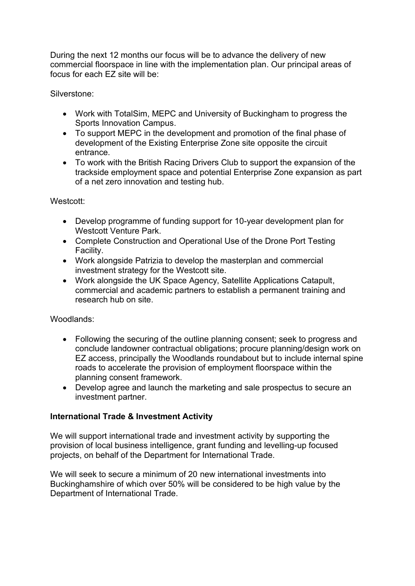During the next 12 months our focus will be to advance the delivery of new commercial floorspace in line with the implementation plan. Our principal areas of focus for each EZ site will be:

Silverstone:

- Work with TotalSim, MEPC and University of Buckingham to progress the Sports Innovation Campus.
- To support MEPC in the development and promotion of the final phase of development of the Existing Enterprise Zone site opposite the circuit entrance.
- To work with the British Racing Drivers Club to support the expansion of the trackside employment space and potential Enterprise Zone expansion as part of a net zero innovation and testing hub.

#### Westcott:

- Develop programme of funding support for 10-year development plan for Westcott Venture Park.
- Complete Construction and Operational Use of the Drone Port Testing Facility.
- Work alongside Patrizia to develop the masterplan and commercial investment strategy for the Westcott site.
- Work alongside the UK Space Agency, Satellite Applications Catapult, commercial and academic partners to establish a permanent training and research hub on site.

#### Woodlands:

- Following the securing of the outline planning consent; seek to progress and conclude landowner contractual obligations; procure planning/design work on EZ access, principally the Woodlands roundabout but to include internal spine roads to accelerate the provision of employment floorspace within the planning consent framework.
- Develop agree and launch the marketing and sale prospectus to secure an investment partner.

## **International Trade & Investment Activity**

We will support international trade and investment activity by supporting the provision of local business intelligence, grant funding and levelling-up focused projects, on behalf of the Department for International Trade.

We will seek to secure a minimum of 20 new international investments into Buckinghamshire of which over 50% will be considered to be high value by the Department of International Trade.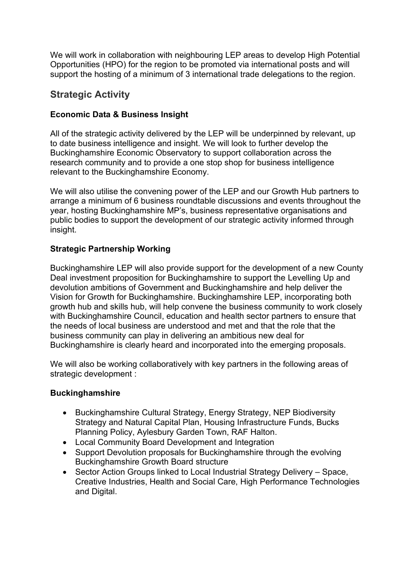We will work in collaboration with neighbouring LEP areas to develop High Potential Opportunities (HPO) for the region to be promoted via international posts and will support the hosting of a minimum of 3 international trade delegations to the region.

# **Strategic Activity**

# **Economic Data & Business Insight**

All of the strategic activity delivered by the LEP will be underpinned by relevant, up to date business intelligence and insight. We will look to further develop the Buckinghamshire Economic Observatory to support collaboration across the research community and to provide a one stop shop for business intelligence relevant to the Buckinghamshire Economy.

We will also utilise the convening power of the LEP and our Growth Hub partners to arrange a minimum of 6 business roundtable discussions and events throughout the year, hosting Buckinghamshire MP's, business representative organisations and public bodies to support the development of our strategic activity informed through insight.

## **Strategic Partnership Working**

Buckinghamshire LEP will also provide support for the development of a new County Deal investment proposition for Buckinghamshire to support the Levelling Up and devolution ambitions of Government and Buckinghamshire and help deliver the Vision for Growth for Buckinghamshire. Buckinghamshire LEP, incorporating both growth hub and skills hub, will help convene the business community to work closely with Buckinghamshire Council, education and health sector partners to ensure that the needs of local business are understood and met and that the role that the business community can play in delivering an ambitious new deal for Buckinghamshire is clearly heard and incorporated into the emerging proposals.

We will also be working collaboratively with key partners in the following areas of strategic development :

## **Buckinghamshire**

- Buckinghamshire Cultural Strategy, Energy Strategy, NEP Biodiversity Strategy and Natural Capital Plan, Housing Infrastructure Funds, Bucks Planning Policy, Aylesbury Garden Town, RAF Halton.
- Local Community Board Development and Integration
- Support Devolution proposals for Buckinghamshire through the evolving Buckinghamshire Growth Board structure
- Sector Action Groups linked to Local Industrial Strategy Delivery Space, Creative Industries, Health and Social Care, High Performance Technologies and Digital.